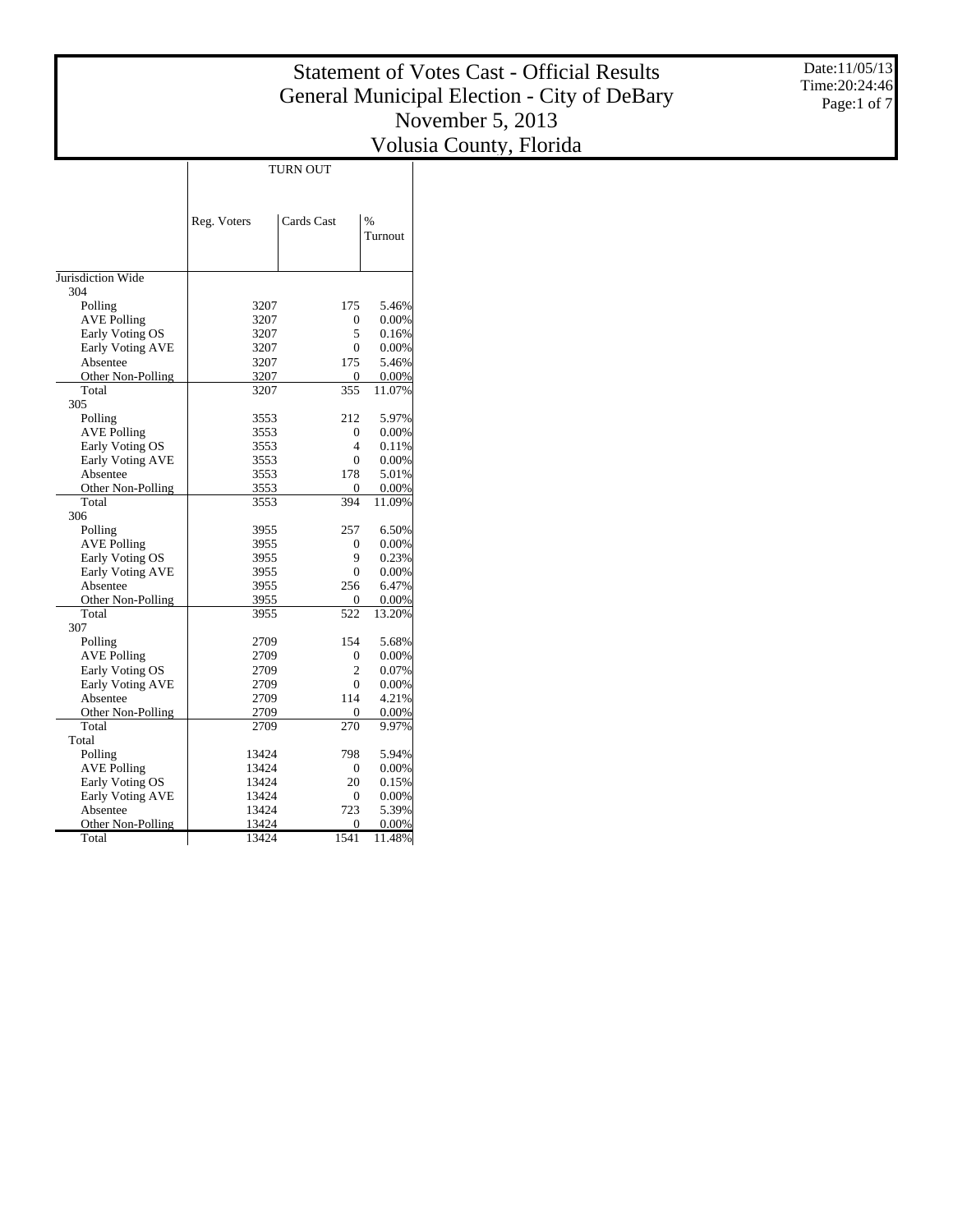Date:11/05/13 Time:20:24:46 Page:1 of 7

|                            | TURN OUT       |                          |                |  |  |  |
|----------------------------|----------------|--------------------------|----------------|--|--|--|
|                            |                |                          |                |  |  |  |
|                            |                |                          |                |  |  |  |
|                            | Reg. Voters    | Cards Cast               | %              |  |  |  |
|                            |                |                          | Turnout        |  |  |  |
|                            |                |                          |                |  |  |  |
|                            |                |                          |                |  |  |  |
| Jurisdiction Wide          |                |                          |                |  |  |  |
| 304                        |                |                          |                |  |  |  |
| Polling                    | 3207           | 175                      | 5.46%          |  |  |  |
| <b>AVE Polling</b>         | 3207           | $\mathbf{0}$             | 0.00%          |  |  |  |
| Early Voting OS            | 3207           | 5                        | 0.16%          |  |  |  |
| <b>Early Voting AVE</b>    | 3207           | $\overline{0}$           | 0.00%          |  |  |  |
| Absentee                   | 3207           | 175                      | 5.46%          |  |  |  |
| Other Non-Polling          | 3207           | $\mathbf{0}$             | 0.00%          |  |  |  |
| Total                      | 3207           | 355                      | 11.07%         |  |  |  |
| 305                        |                |                          |                |  |  |  |
| Polling                    | 3553           | 212                      | 5.97%          |  |  |  |
| <b>AVE Polling</b>         | 3553           | $\Omega$                 | 0.00%          |  |  |  |
| Early Voting OS            | 3553           | $\overline{\mathcal{L}}$ | 0.11%          |  |  |  |
| Early Voting AVE           | 3553           | $\overline{0}$           | 0.00%          |  |  |  |
| Absentee                   | 3553           | 178                      | 5.01%          |  |  |  |
| Other Non-Polling          | 3553           | $\mathbf{0}$             | 0.00%          |  |  |  |
| Total                      | 3553           | 394                      | 11.09%         |  |  |  |
| 306                        |                |                          |                |  |  |  |
| Polling                    | 3955           | 257                      | 6.50%          |  |  |  |
| <b>AVE Polling</b>         | 3955           | $\mathbf{0}$             | 0.00%          |  |  |  |
| Early Voting OS            | 3955           | 9                        | 0.23%          |  |  |  |
| <b>Early Voting AVE</b>    | 3955           | $\Omega$                 | $0.00\%$       |  |  |  |
| Absentee                   | 3955           | 256                      | 6.47%          |  |  |  |
| Other Non-Polling          | 3955           | $\mathbf{0}$             | 0.00%          |  |  |  |
| Total                      | 3955           | 522                      | 13.20%         |  |  |  |
| 307                        |                |                          |                |  |  |  |
| Polling                    | 2709           | 154                      | 5.68%          |  |  |  |
| <b>AVE Polling</b>         | 2709           | $\mathbf{0}$             | 0.00%          |  |  |  |
| Early Voting OS            | 2709           | $\overline{2}$           | 0.07%          |  |  |  |
| Early Voting AVE           | 2709           | $\theta$                 | 0.00%          |  |  |  |
| Absentee                   | 2709           | 114                      | 4.21%          |  |  |  |
| Other Non-Polling          | 2709           | $\Omega$                 | $0.00\%$       |  |  |  |
| Total                      | 2709           | 270                      | 9.97%          |  |  |  |
| Total                      |                |                          |                |  |  |  |
| Polling                    | 13424          | 798                      | 5.94%          |  |  |  |
| <b>AVE Polling</b>         | 13424          | $\mathbf{0}$             | 0.00%          |  |  |  |
| Early Voting OS            | 13424          | 20                       | 0.15%          |  |  |  |
| Early Voting AVE           | 13424          | $\mathbf{0}$<br>723      | 0.00%<br>5.39% |  |  |  |
| Absentee                   | 13424          |                          | 0.00%          |  |  |  |
| Other Non-Polling<br>Total | 13424<br>13424 | 0<br>1541                |                |  |  |  |
|                            |                |                          | 11.48%         |  |  |  |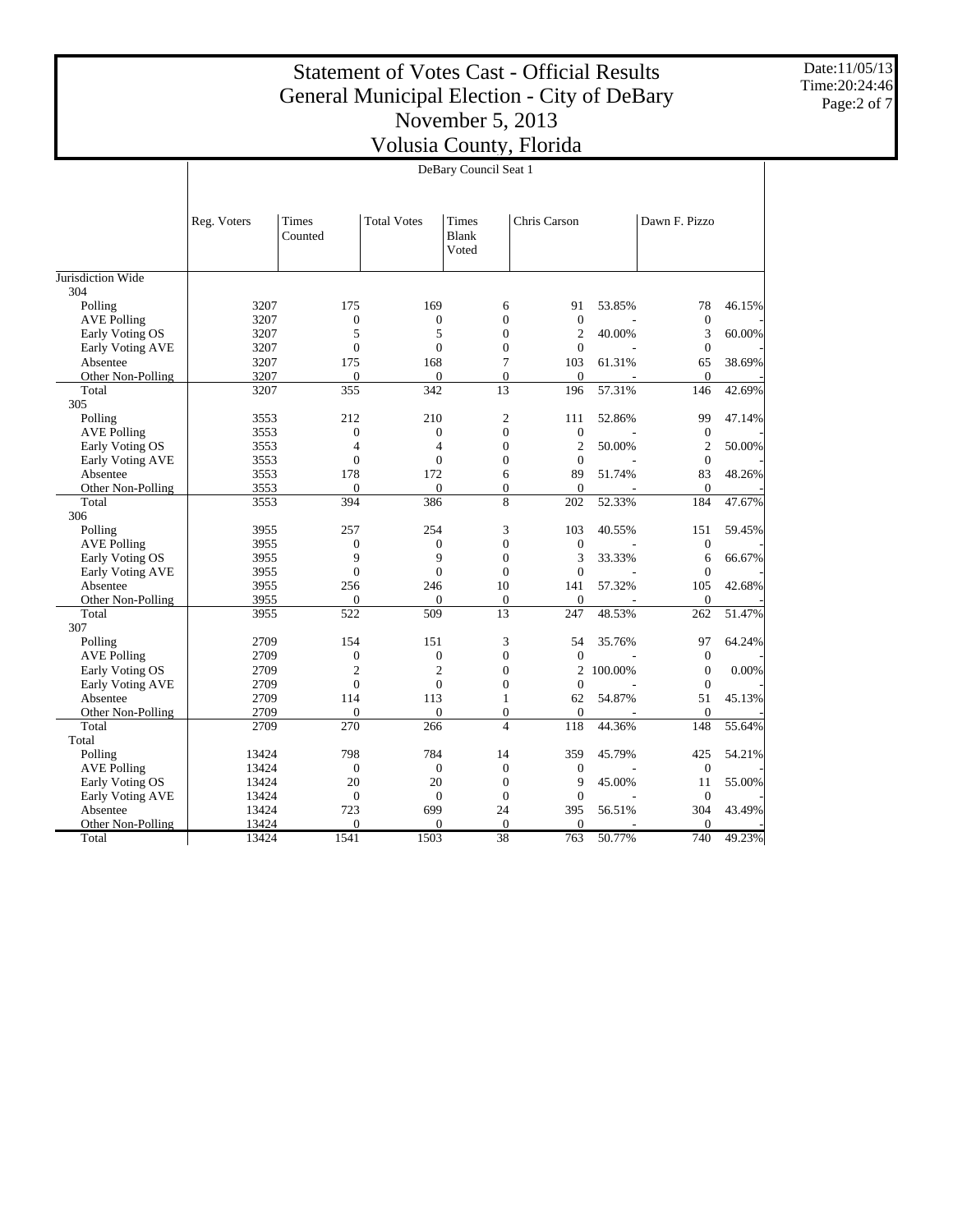Date:11/05/13 Time:20:24:46 Page:2 of 7

|                          | DeBary Council Seat 1 |                  |                    |                                |                  |         |                  |        |
|--------------------------|-----------------------|------------------|--------------------|--------------------------------|------------------|---------|------------------|--------|
|                          |                       |                  |                    |                                |                  |         |                  |        |
|                          | Reg. Voters           | Times<br>Counted | <b>Total Votes</b> | Times<br><b>Blank</b><br>Voted | Chris Carson     |         | Dawn F. Pizzo    |        |
| Jurisdiction Wide<br>304 |                       |                  |                    |                                |                  |         |                  |        |
| Polling                  | 3207                  | 175              | 169                | 6                              | 91               | 53.85%  | 78               | 46.15% |
| <b>AVE Polling</b>       | 3207                  | $\mathbf{0}$     | $\overline{0}$     | $\theta$                       | $\mathbf{0}$     |         | $\overline{0}$   |        |
| Early Voting OS          | 3207                  | 5                | 5                  | $\overline{0}$                 | $\overline{2}$   | 40.00%  | 3                | 60.00% |
| Early Voting AVE         | 3207                  | $\boldsymbol{0}$ | $\mathbf{0}$       | $\boldsymbol{0}$               | $\overline{0}$   |         | $\boldsymbol{0}$ |        |
| Absentee                 | 3207                  | 175              | 168                | 7                              | 103              | 61.31%  | 65               | 38.69% |
| Other Non-Polling        | 3207                  | $\mathbf{0}$     | $\overline{0}$     | $\overline{0}$                 | $\overline{0}$   |         | $\overline{0}$   |        |
| Total                    | 3207                  | 355              | 342                | 13                             | 196              | 57.31%  | 146              | 42.69% |
| 305                      |                       |                  |                    |                                |                  |         |                  |        |
| Polling                  | 3553                  | 212              | 210                | $\overline{2}$                 | 111              | 52.86%  | 99               | 47.14% |
| <b>AVE Polling</b>       | 3553                  | $\boldsymbol{0}$ | $\overline{0}$     | $\overline{0}$                 | $\mathbf{0}$     |         | $\theta$         |        |
| Early Voting OS          | 3553                  | $\overline{4}$   | $\overline{4}$     | $\theta$                       | $\overline{c}$   | 50.00%  | $\overline{2}$   | 50.00% |
| Early Voting AVE         | 3553                  | $\mathbf{0}$     | $\theta$           | $\overline{0}$                 | $\theta$         |         | $\overline{0}$   |        |
| Absentee                 | 3553                  | 178              | 172                | 6                              | 89               | 51.74%  | 83               | 48.26% |
| Other Non-Polling        | 3553                  | $\Omega$         | $\Omega$           | $\theta$                       | $\Omega$         |         | $\theta$         |        |
| Total                    | 3553                  | 394              | 386                | 8                              | 202              | 52.33%  | 184              | 47.67% |
| 306                      |                       |                  |                    |                                |                  |         |                  |        |
| Polling                  | 3955                  | 257              | 254                | 3                              | 103              | 40.55%  | 151              | 59.45% |
| <b>AVE Polling</b>       | 3955                  | $\boldsymbol{0}$ | $\overline{0}$     | $\overline{0}$                 | $\overline{0}$   |         | $\boldsymbol{0}$ |        |
| Early Voting OS          | 3955                  | 9                | 9                  | $\overline{0}$                 | 3                | 33.33%  | 6                | 66.67% |
| Early Voting AVE         | 3955                  | $\overline{0}$   | $\overline{0}$     | $\overline{0}$                 | $\Omega$         |         | $\mathbf{0}$     |        |
| Absentee                 | 3955                  | 256              | 246                | 10                             | 141              | 57.32%  | 105              | 42.68% |
| Other Non-Polling        | 3955                  | $\Omega$         | $\Omega$           | $\Omega$                       | $\Omega$         |         | $\Omega$         |        |
| Total                    | 3955                  | 522              | 509                | 13                             | 247              | 48.53%  | 262              | 51.47% |
| 307                      |                       |                  |                    |                                |                  |         |                  |        |
| Polling                  | 2709                  | 154              | 151                | 3                              | 54               | 35.76%  | 97               | 64.24% |
| <b>AVE Polling</b>       | 2709                  | $\boldsymbol{0}$ | $\overline{0}$     | $\overline{0}$                 | $\boldsymbol{0}$ |         | $\boldsymbol{0}$ |        |
| Early Voting OS          | 2709                  | $\mathfrak{2}$   | $\overline{c}$     | $\boldsymbol{0}$               | $\overline{c}$   | 100.00% | $\boldsymbol{0}$ | 0.00%  |
| <b>Early Voting AVE</b>  | 2709                  | $\mathbf{0}$     | $\overline{0}$     | $\overline{0}$                 | $\theta$         |         | $\theta$         |        |
| Absentee                 | 2709                  | 114              | 113                | $\mathbf{1}$                   | 62               | 54.87%  | 51               | 45.13% |
| Other Non-Polling        | 2709                  | $\mathbf{0}$     | $\mathbf{0}$       | $\overline{0}$                 | $\mathbf{0}$     |         | $\mathbf{0}$     |        |
| Total                    | 2709                  | 270              | 266                | $\overline{\mathcal{L}}$       | 118              | 44.36%  | 148              | 55.64% |
| Total                    |                       |                  |                    |                                |                  |         |                  |        |
| Polling                  | 13424                 | 798              | 784                | 14                             | 359              | 45.79%  | 425              | 54.21% |
| <b>AVE Polling</b>       | 13424                 | $\mathbf{0}$     | $\overline{0}$     | $\Omega$                       | $\mathbf{0}$     |         | $\mathbf{0}$     |        |
| Early Voting OS          | 13424                 | 20               | 20                 | $\overline{0}$                 | 9                | 45.00%  | 11               | 55.00% |
| Early Voting AVE         | 13424                 | $\mathbf{0}$     | $\overline{0}$     | $\overline{0}$                 | $\mathbf{0}$     |         | $\overline{0}$   |        |
| Absentee                 | 13424                 | 723              | 699                | 24                             | 395              | 56.51%  | 304              | 43.49% |
| Other Non-Polling        | 13424                 | $\Omega$         | $\Omega$           | $\theta$                       | $\Omega$         |         | $\Omega$         |        |
| Total                    | 13424                 | 1541             | 1503               | 38                             | 763              | 50.77%  | 740              | 49.23% |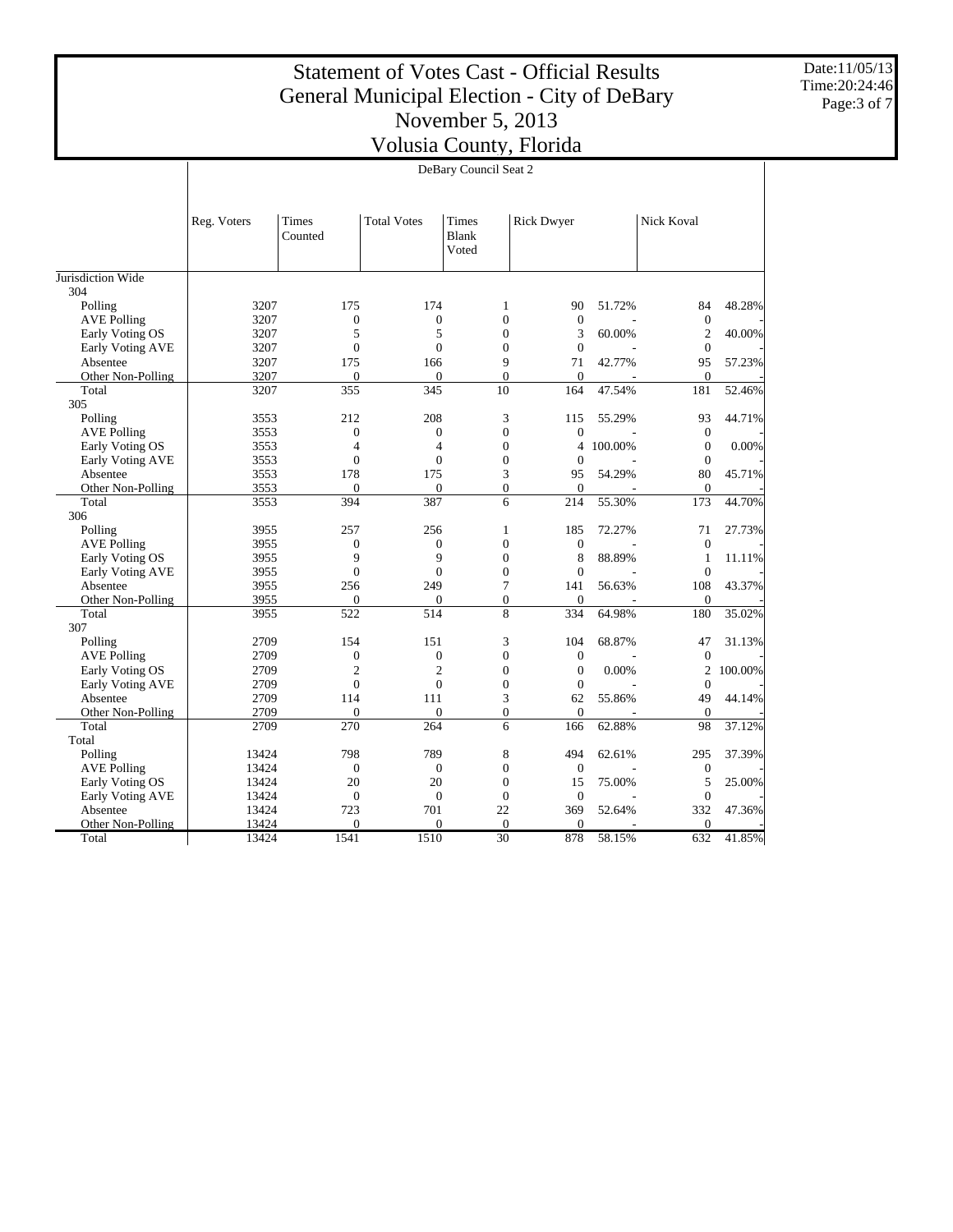Date:11/05/13 Time:20:24:46 Page:3 of 7

|                                                                                                                               | DeBary Council Seat 2 |         |  |  |  |  |  |  |
|-------------------------------------------------------------------------------------------------------------------------------|-----------------------|---------|--|--|--|--|--|--|
|                                                                                                                               |                       |         |  |  |  |  |  |  |
| Times<br><b>Total Votes</b><br>Times<br><b>Rick Dwyer</b><br>Nick Koval<br>Reg. Voters<br>Counted<br>Blank<br>Voted           |                       |         |  |  |  |  |  |  |
| Jurisdiction Wide                                                                                                             |                       |         |  |  |  |  |  |  |
| 304                                                                                                                           |                       |         |  |  |  |  |  |  |
| 3207<br>175<br>174<br>51.72%<br>Polling<br>1<br>90                                                                            | 84                    | 48.28%  |  |  |  |  |  |  |
| $\boldsymbol{0}$<br>$\overline{0}$<br>$\overline{0}$<br>$\overline{0}$<br><b>AVE Polling</b><br>3207                          | $\overline{0}$        |         |  |  |  |  |  |  |
| 5<br>5<br>$\overline{0}$<br>3207<br>3<br>60.00%<br>Early Voting OS                                                            | $\overline{2}$        | 40.00%  |  |  |  |  |  |  |
| $\mathbf{0}$<br>$\boldsymbol{0}$<br>$\mathbf{0}$<br>$\mathbf{0}$<br>Early Voting AVE<br>3207                                  | $\boldsymbol{0}$      |         |  |  |  |  |  |  |
| 175<br>9<br>71<br>42.77%<br>3207<br>166<br>Absentee                                                                           | 95                    | 57.23%  |  |  |  |  |  |  |
| $\overline{0}$<br>3207<br>$\mathbf{0}$<br>$\overline{0}$<br>$\mathbf{0}$<br>Other Non-Polling                                 | $\overline{0}$        |         |  |  |  |  |  |  |
| 355<br>Total<br>3207<br>345<br>10<br>47.54%<br>164                                                                            | 181                   | 52.46%  |  |  |  |  |  |  |
| 305                                                                                                                           |                       |         |  |  |  |  |  |  |
| 3<br>Polling<br>212<br>208<br>55.29%<br>3553<br>115                                                                           | 93                    | 44.71%  |  |  |  |  |  |  |
| <b>AVE Polling</b><br>$\overline{0}$<br>$\mathbf{0}$<br>$\mathbf{0}$<br>$\mathbf{0}$<br>3553                                  | $\mathbf{0}$          |         |  |  |  |  |  |  |
| $\overline{4}$<br>$\mathbf{0}$<br>100.00%<br>Early Voting OS<br>3553<br>4<br>4                                                | $\theta$              | 0.00%   |  |  |  |  |  |  |
| $\overline{0}$<br>$\theta$<br>$\overline{0}$<br>Early Voting AVE<br>3553<br>$\theta$                                          | $\overline{0}$        |         |  |  |  |  |  |  |
| 178<br>175<br>3<br>3553<br>95<br>54.29%<br>Absentee                                                                           | 80                    | 45.71%  |  |  |  |  |  |  |
| 3553<br>$\overline{0}$<br>$\mathbf{0}$<br>$\mathbf{0}$<br>$\Omega$<br>Other Non-Polling                                       | $\mathbf{0}$          |         |  |  |  |  |  |  |
| 387<br>6<br>3553<br>394<br>214<br>55.30%<br>Total                                                                             | 173                   | 44.70%  |  |  |  |  |  |  |
| 306                                                                                                                           |                       |         |  |  |  |  |  |  |
| Polling<br>3955<br>257<br>256<br>$\mathbf{1}$<br>185<br>72.27%                                                                | 71                    | 27.73%  |  |  |  |  |  |  |
| $\boldsymbol{0}$<br>3955<br>$\boldsymbol{0}$<br>$\boldsymbol{0}$<br>$\mathbf{0}$<br><b>AVE Polling</b><br>9<br>$\overline{Q}$ | $\mathbf{0}$          |         |  |  |  |  |  |  |
| $\overline{0}$<br>8<br>88.89%<br>Early Voting OS<br>3955<br>$\theta$                                                          | 1                     | 11.11%  |  |  |  |  |  |  |
| $\overline{0}$<br>$\overline{0}$<br>$\overline{0}$<br>Early Voting AVE<br>3955                                                | $\theta$              |         |  |  |  |  |  |  |
| 249<br>7<br>3955<br>256<br>56.63%<br>Absentee<br>141<br>3955<br>$\mathbf{0}$<br>$\Omega$<br>$\Omega$                          | 108<br>$\Omega$       | 43.37%  |  |  |  |  |  |  |
| Other Non-Polling<br>$\mathbf{0}$<br>$\overline{8}$<br>$\frac{1}{514}$<br>3955<br>522<br>334<br>64.98%<br>Total               | 180                   | 35.02%  |  |  |  |  |  |  |
| 307                                                                                                                           |                       |         |  |  |  |  |  |  |
| Polling<br>2709<br>154<br>151<br>3<br>104<br>68.87%                                                                           | 47                    | 31.13%  |  |  |  |  |  |  |
| $\overline{0}$<br>$\overline{0}$<br>$\overline{0}$<br>$\overline{0}$<br><b>AVE Polling</b><br>2709                            | $\overline{0}$        |         |  |  |  |  |  |  |
| $\overline{c}$<br>$\overline{2}$<br>$\overline{0}$<br>Early Voting OS<br>2709<br>$\mathbf{0}$<br>0.00%                        | $\overline{c}$        | 100.00% |  |  |  |  |  |  |
| $\mathbf{0}$<br>2709<br>$\mathbf{0}$<br>$\mathbf{0}$<br>$\mathbf{0}$<br>Early Voting AVE                                      | $\theta$              |         |  |  |  |  |  |  |
| 2709<br>111<br>3<br>62<br>55.86%<br>Absentee<br>114                                                                           | 49                    | 44.14%  |  |  |  |  |  |  |
| 2709<br>$\theta$<br>$\Omega$<br>$\Omega$<br>$\Omega$<br>Other Non-Polling                                                     | $\mathbf{0}$          |         |  |  |  |  |  |  |
| 2709<br>270<br>264<br>6<br>62.88%<br>Total<br>166                                                                             | 98                    | 37.12%  |  |  |  |  |  |  |
| Total                                                                                                                         |                       |         |  |  |  |  |  |  |
| 789<br>8<br>Polling<br>798<br>494<br>13424<br>62.61%                                                                          | 295                   | 37.39%  |  |  |  |  |  |  |
| $\overline{0}$<br>13424<br>$\overline{0}$<br>$\overline{0}$<br>$\mathbf{0}$<br><b>AVE Polling</b>                             | $\mathbf{0}$          |         |  |  |  |  |  |  |
| 20<br>20<br>$\mathbf{0}$<br>75.00%<br>Early Voting OS<br>13424<br>15                                                          | 5                     | 25.00%  |  |  |  |  |  |  |
| $\mathbf{0}$<br>$\overline{0}$<br>$\mathbf{0}$<br>Early Voting AVE<br>13424<br>$\mathbf{0}$                                   | $\mathbf{0}$          |         |  |  |  |  |  |  |
| Absentee<br>13424<br>723<br>701<br>22<br>369<br>52.64%                                                                        | 332                   | 47.36%  |  |  |  |  |  |  |
| Other Non-Polling<br>13424<br>$\overline{0}$<br>$\overline{0}$<br>$\mathbf{0}$<br>$\mathbf{0}$                                | $\mathbf{0}$          |         |  |  |  |  |  |  |
| 1510<br>30<br>878<br>Total<br>13424<br>1541<br>58.15%                                                                         | 632                   | 41.85%  |  |  |  |  |  |  |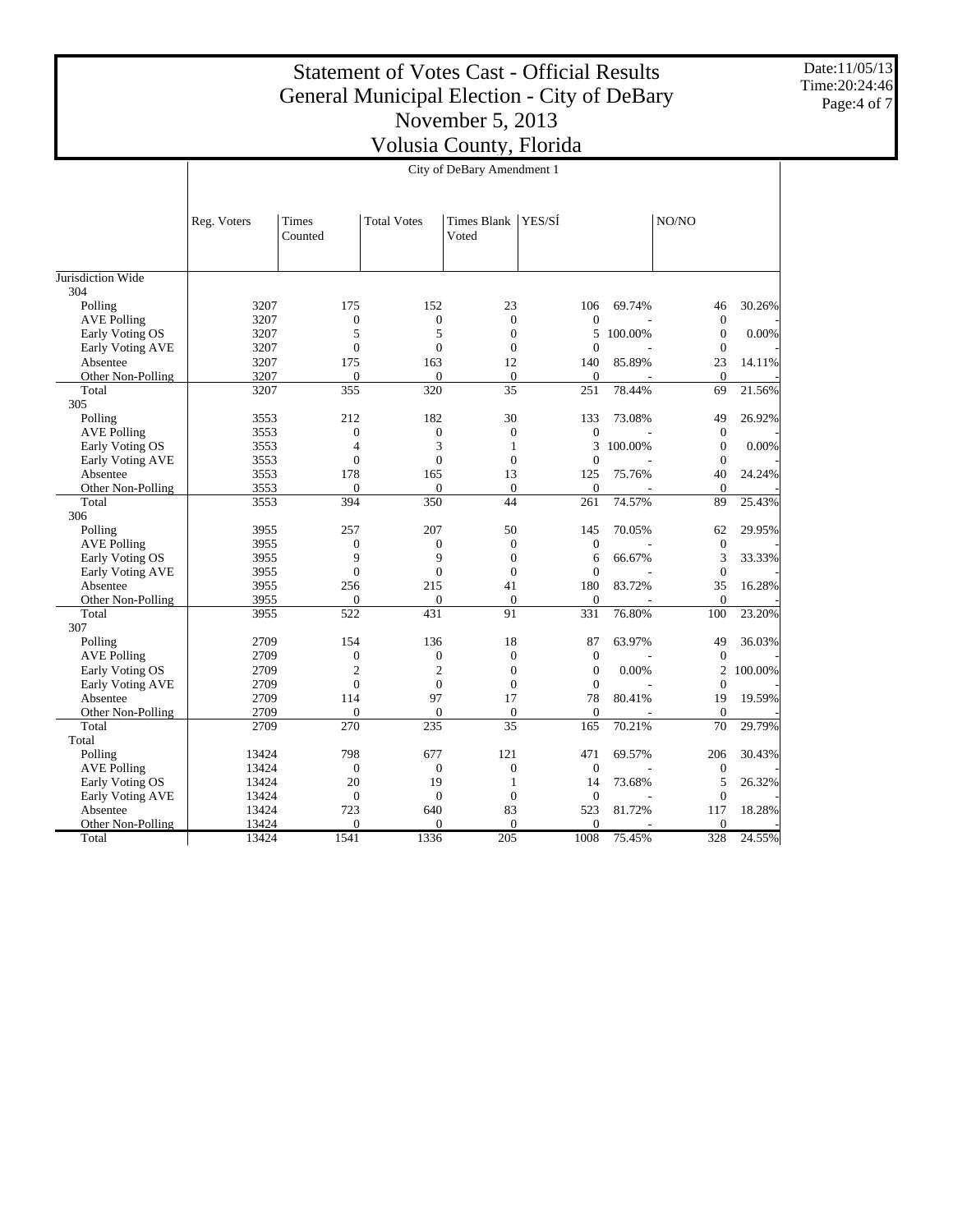Date:11/05/13 Time:20:24:46 Page:4 of 7

|                    | City of DeBary Amendment 1 |                  |                    |                             |                  |         |                  |          |
|--------------------|----------------------------|------------------|--------------------|-----------------------------|------------------|---------|------------------|----------|
|                    |                            |                  |                    |                             |                  |         |                  |          |
|                    | Reg. Voters                | Times<br>Counted | <b>Total Votes</b> | <b>Times Blank</b><br>Voted | YES/SÍ           |         | NO/NO            |          |
| Jurisdiction Wide  |                            |                  |                    |                             |                  |         |                  |          |
| 304                |                            |                  |                    |                             |                  |         |                  |          |
| Polling            | 3207                       | 175              | 152                | 23                          | 106              | 69.74%  | 46               | 30.26%   |
| <b>AVE Polling</b> | 3207                       | $\overline{0}$   | $\overline{0}$     | $\theta$                    | $\overline{0}$   |         | $\mathbf{0}$     |          |
| Early Voting OS    | 3207                       | 5                | 5                  | $\overline{0}$              | 5                | 100.00% | $\mathbf{0}$     | 0.00%    |
| Early Voting AVE   | 3207                       | $\overline{0}$   | $\overline{0}$     | $\overline{0}$              | $\overline{0}$   |         | $\mathbf{0}$     |          |
| Absentee           | 3207                       | 175              | 163                | 12                          | 140              | 85.89%  | 23               | 14.11%   |
| Other Non-Polling  | 3207                       | $\mathbf{0}$     | $\overline{0}$     | $\boldsymbol{0}$            | $\mathbf{0}$     |         | $\mathbf{0}$     |          |
| Total              | 3207                       | 355              | 320                | 35                          | 251              | 78.44%  | 69               | 21.56%   |
| 305                |                            |                  |                    |                             |                  |         |                  |          |
| Polling            | 3553                       | 212              | 182                | 30                          | 133              | 73.08%  | 49               | 26.92%   |
| <b>AVE Polling</b> | 3553                       | $\boldsymbol{0}$ | $\boldsymbol{0}$   | $\overline{0}$              | $\overline{0}$   |         | $\boldsymbol{0}$ |          |
| Early Voting OS    | 3553                       | $\overline{4}$   | 3                  | $\mathbf{1}$                | 3                | 100.00% | $\mathbf{0}$     | $0.00\%$ |
| Early Voting AVE   | 3553                       | $\overline{0}$   | $\overline{0}$     | $\overline{0}$              | $\overline{0}$   |         | $\overline{0}$   |          |
| Absentee           | 3553                       | 178              | 165                | 13                          | 125              | 75.76%  | 40               | 24.24%   |
| Other Non-Polling  | 3553                       | $\Omega$         | $\overline{0}$     | $\theta$                    | $\theta$         |         | $\mathbf{0}$     |          |
| Total              | 3553                       | 394              | 350                | 44                          | 261              | 74.57%  | 89               | 25.43%   |
| 306                |                            |                  |                    |                             |                  |         |                  |          |
| Polling            | 3955                       | 257              | 207                | 50                          | 145              | 70.05%  | 62               | 29.95%   |
| <b>AVE Polling</b> | 3955                       | $\boldsymbol{0}$ | $\overline{0}$     | $\overline{0}$              | $\boldsymbol{0}$ |         | $\mathbf{0}$     |          |
| Early Voting OS    | 3955                       | 9                | 9                  | $\theta$                    | 6                | 66.67%  | 3                | 33.33%   |
| Early Voting AVE   | 3955                       | $\boldsymbol{0}$ | $\boldsymbol{0}$   | $\overline{0}$              | $\overline{0}$   |         | $\boldsymbol{0}$ |          |
| Absentee           | 3955                       | 256              | 215                | 41                          | 180              | 83.72%  | 35               | 16.28%   |
| Other Non-Polling  | 3955                       | $\overline{0}$   | $\overline{0}$     | $\overline{0}$              | $\overline{0}$   |         | $\overline{0}$   |          |
| Total              | 3955                       | 522              | 431                | 91                          | 331              | 76.80%  | 100              | 23.20%   |
| 307                |                            |                  |                    |                             |                  |         |                  |          |
| Polling            | 2709                       | 154              | 136                | 18                          | 87               | 63.97%  | 49               | 36.03%   |
| <b>AVE Polling</b> | 2709                       | $\boldsymbol{0}$ | $\overline{0}$     | $\overline{0}$              | $\theta$         |         | $\mathbf{0}$     |          |
| Early Voting OS    | 2709                       | $\overline{c}$   | $\overline{2}$     | $\overline{0}$              | $\overline{0}$   | 0.00%   | $\mathfrak{2}$   | 100.00%  |
| Early Voting AVE   | 2709                       | $\mathbf{0}$     | $\overline{0}$     | $\Omega$                    | $\mathbf{0}$     |         | $\mathbf{0}$     |          |
| Absentee           | 2709                       | 114              | 97                 | 17                          | 78               | 80.41%  | 19               | 19.59%   |
| Other Non-Polling  | 2709                       | $\Omega$         | $\Omega$           | $\mathbf{0}$                | $\mathbf{0}$     |         | $\mathbf{0}$     |          |
| Total              | 2709                       | 270              | 235                | $\overline{35}$             | 165              | 70.21%  | $\overline{70}$  | 29.79%   |
| Total              |                            |                  |                    |                             |                  |         |                  |          |
| Polling            | 13424                      | 798              | 677                | 121                         | 471              | 69.57%  | 206              | 30.43%   |
| <b>AVE Polling</b> | 13424                      | $\overline{0}$   | $\overline{0}$     | $\overline{0}$              | $\mathbf{0}$     |         | $\mathbf{0}$     |          |
| Early Voting OS    | 13424                      | 20               | 19                 | 1                           | 14               | 73.68%  | 5                | 26.32%   |
| Early Voting AVE   | 13424                      | $\overline{0}$   | $\overline{0}$     | $\overline{0}$              | $\mathbf{0}$     |         | $\overline{0}$   |          |
| Absentee           | 13424                      | 723              | 640                | 83                          | 523              | 81.72%  | 117              | 18.28%   |
| Other Non-Polling  | 13424                      | $\theta$         | $\theta$           | $\theta$                    | $\Omega$         |         | $\mathbf{0}$     |          |
| Total              | 13424                      | 1541             | 1336               | 205                         | 1008             | 75.45%  | 328              | 24.55%   |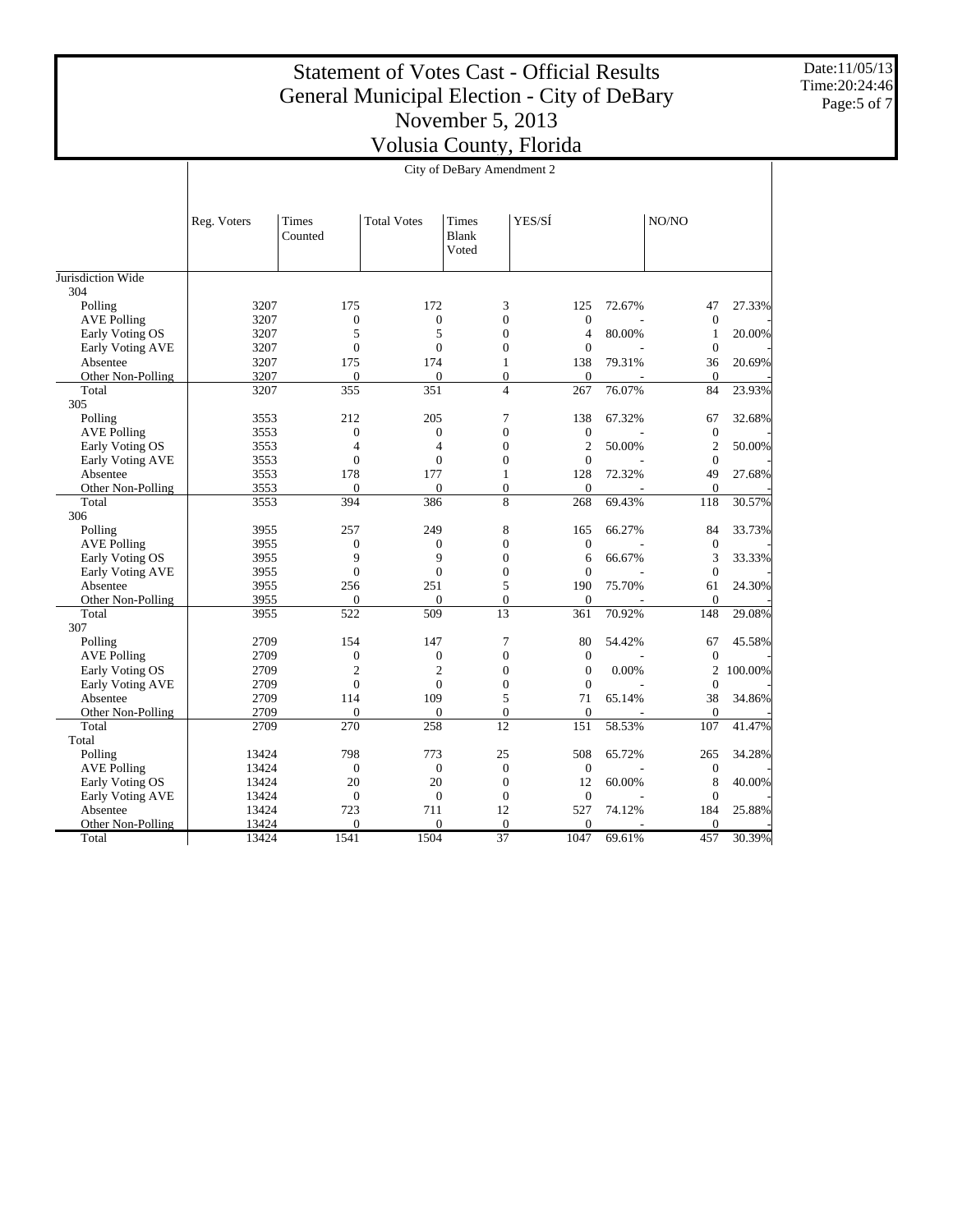Date:11/05/13 Time:20:24:46 Page:5 of 7

|                    | City of DeBary Amendment 2 |                  |                    |                                |                  |        |                  |         |
|--------------------|----------------------------|------------------|--------------------|--------------------------------|------------------|--------|------------------|---------|
|                    |                            |                  |                    |                                |                  |        |                  |         |
|                    | Reg. Voters                | Times<br>Counted | <b>Total Votes</b> | Times<br><b>Blank</b><br>Voted | YES/SÍ           |        | NO/NO            |         |
| Jurisdiction Wide  |                            |                  |                    |                                |                  |        |                  |         |
| 304                |                            |                  |                    |                                |                  |        |                  |         |
| Polling            | 3207                       | 175              | 172                | 3                              | 125              | 72.67% | 47               | 27.33%  |
| <b>AVE Polling</b> | 3207                       | $\mathbf{0}$     | $\mathbf{0}$       | $\overline{0}$                 | $\mathbf{0}$     |        | $\mathbf{0}$     |         |
| Early Voting OS    | 3207                       | 5                | 5                  | $\overline{0}$                 | $\overline{4}$   | 80.00% | $\mathbf{1}$     | 20.00%  |
| Early Voting AVE   | 3207                       | $\overline{0}$   | $\theta$           | $\Omega$                       | $\mathbf{0}$     |        | $\overline{0}$   |         |
| Absentee           | 3207                       | 175              | 174                | $\mathbf{1}$                   | 138              | 79.31% | 36               | 20.69%  |
| Other Non-Polling  | 3207                       | $\Omega$         | $\Omega$           | $\Omega$                       | $\Omega$         |        | $\mathbf{0}$     |         |
| Total              | 3207                       | 355              | 351                | $\overline{4}$                 | 267              | 76.07% | 84               | 23.93%  |
| 305                |                            |                  |                    |                                |                  |        |                  |         |
| Polling            | 3553                       | 212              | 205                | 7                              | 138              | 67.32% | 67               | 32.68%  |
| <b>AVE Polling</b> | 3553                       | $\mathbf{0}$     | $\mathbf{0}$       | $\overline{0}$                 | $\boldsymbol{0}$ |        | $\boldsymbol{0}$ |         |
| Early Voting OS    | 3553                       | 4                | $\overline{4}$     | $\mathbf{0}$                   | $\overline{2}$   | 50.00% | $\overline{2}$   | 50.00%  |
| Early Voting AVE   | 3553                       | $\overline{0}$   | $\overline{0}$     | $\Omega$                       | $\theta$         |        | $\overline{0}$   |         |
| Absentee           | 3553                       | 178              | 177                | 1                              | 128              | 72.32% | 49               | 27.68%  |
| Other Non-Polling  | 3553                       | $\Omega$         | $\Omega$           | $\mathbf{0}$                   | $\overline{0}$   |        | $\mathbf{0}$     |         |
| Total              | 3553                       | 394              | 386                | 8                              | 268              | 69.43% | 118              | 30.57%  |
| 306                |                            |                  |                    |                                |                  |        |                  |         |
| Polling            | 3955                       | 257              | 249                | 8                              | 165              | 66.27% | 84               | 33.73%  |
| <b>AVE Polling</b> | 3955                       | $\boldsymbol{0}$ | $\boldsymbol{0}$   | $\overline{0}$                 | $\boldsymbol{0}$ |        | $\boldsymbol{0}$ |         |
| Early Voting OS    | 3955                       | 9                | 9                  | $\mathbf{0}$                   | 6                | 66.67% | 3                | 33.33%  |
| Early Voting AVE   | 3955                       | $\boldsymbol{0}$ | $\overline{0}$     | $\overline{0}$                 | $\mathbf{0}$     |        | $\overline{0}$   |         |
| Absentee           | 3955                       | 256              | 251                | 5                              | 190              | 75.70% | 61               | 24.30%  |
| Other Non-Polling  | 3955                       | $\mathbf{0}$     | $\mathbf{0}$       | $\mathbf{0}$                   | $\theta$         |        | $\mathbf{0}$     |         |
| Total              | 3955                       | 522              | 509                | 13                             | 361              | 70.92% | 148              | 29.08%  |
| 307                |                            |                  |                    |                                |                  |        |                  |         |
| Polling            | 2709                       | 154              | 147                | $\overline{7}$                 | 80               | 54.42% | 67               | 45.58%  |
| <b>AVE Polling</b> | 2709                       | $\boldsymbol{0}$ | $\mathbf{0}$       | $\mathbf{0}$                   | $\boldsymbol{0}$ |        | $\boldsymbol{0}$ |         |
| Early Voting OS    | 2709                       | $\mathfrak{2}$   | $\overline{2}$     | $\Omega$                       | $\Omega$         | 0.00%  | $\overline{2}$   | 100.00% |
| Early Voting AVE   | 2709                       | $\overline{0}$   | $\overline{0}$     | $\overline{0}$                 | $\mathbf{0}$     |        | $\overline{0}$   |         |
| Absentee           | 2709                       | 114              | 109                | 5                              | 71               | 65.14% | 38               | 34.86%  |
| Other Non-Polling  | 2709                       | $\Omega$         | $\Omega$           | $\overline{0}$                 | $\Omega$         |        | $\mathbf{0}$     |         |
| Total              | 2709                       | 270              | 258                | 12                             | 151              | 58.53% | 107              | 41.47%  |
| Total              |                            |                  |                    |                                |                  |        |                  |         |
| Polling            | 13424                      | 798              | 773                | 25                             | 508              | 65.72% | 265              | 34.28%  |
| <b>AVE Polling</b> | 13424                      | $\boldsymbol{0}$ | $\boldsymbol{0}$   | $\theta$                       | $\boldsymbol{0}$ |        | $\mathbf{0}$     |         |
| Early Voting OS    | 13424                      | 20               | 20                 | $\theta$                       | 12               | 60.00% | 8                | 40.00%  |
| Early Voting AVE   | 13424                      | $\mathbf{0}$     | $\overline{0}$     | $\mathbf{0}$                   | $\mathbf{0}$     |        | $\overline{0}$   |         |
| Absentee           | 13424                      | 723<br>$\Omega$  | 711                | 12                             | 527              | 74.12% | 184              | 25.88%  |
| Other Non-Polling  | 13424                      |                  | $\Omega$           | $\Omega$                       | $\Omega$         |        | $\theta$         |         |
| Total              | 13424                      | 1541             | 1504               | $\overline{37}$                | 1047             | 69.61% | 457              | 30.39%  |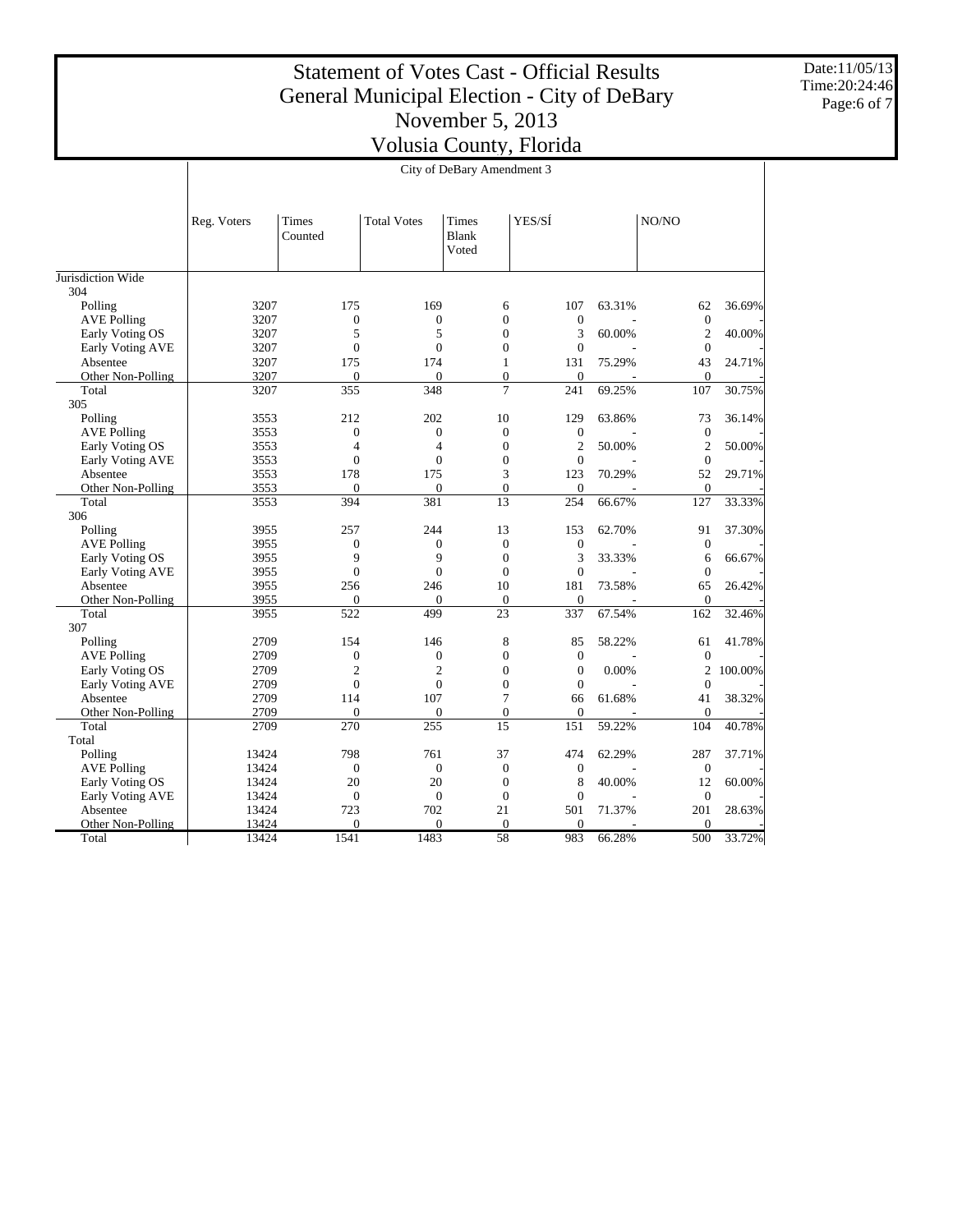Date:11/05/13 Time:20:24:46 Page:6 of 7

|                    | City of DeBary Amendment 3 |                    |                    |                                |                   |        |                        |         |
|--------------------|----------------------------|--------------------|--------------------|--------------------------------|-------------------|--------|------------------------|---------|
|                    |                            |                    |                    |                                |                   |        |                        |         |
|                    | Reg. Voters                | Times<br>Counted   | <b>Total Votes</b> | Times<br>Blank<br>Voted        | YES/SÍ            |        | NO/NO                  |         |
| Jurisdiction Wide  |                            |                    |                    |                                |                   |        |                        |         |
| 304                |                            |                    |                    |                                |                   |        |                        |         |
| Polling            | 3207                       | 175                | 169                | 6                              | 107               | 63.31% | 62                     | 36.69%  |
| <b>AVE Polling</b> | 3207                       | $\boldsymbol{0}$   | $\mathbf{0}$       | $\mathbf{0}$                   | $\boldsymbol{0}$  |        | $\boldsymbol{0}$       |         |
| Early Voting OS    | 3207                       | 5                  | 5                  | $\theta$                       | 3                 | 60.00% | $\overline{2}$         | 40.00%  |
| Early Voting AVE   | 3207                       | $\overline{0}$     | $\Omega$           | $\theta$                       | $\mathbf{0}$      |        | $\mathbf{0}$           |         |
| Absentee           | 3207                       | 175                | 174                | $\mathbf{1}$                   | 131               | 75.29% | 43                     | 24.71%  |
| Other Non-Polling  | 3207                       | $\mathbf{0}$       | $\Omega$           | $\Omega$                       | $\Omega$          |        | $\Omega$               |         |
| Total              | 3207                       | 355                | 348                | $\overline{7}$                 | 241               | 69.25% | 107                    | 30.75%  |
| 305                |                            |                    |                    |                                |                   |        |                        |         |
| Polling            | 3553                       | 212                | 202                | 10                             | 129               | 63.86% | 73                     | 36.14%  |
| <b>AVE Polling</b> | 3553                       | $\mathbf{0}$       | $\mathbf{0}$       | $\overline{0}$                 | $\overline{0}$    |        | $\mathbf{0}$           |         |
| Early Voting OS    | 3553                       | $\overline{4}$     | $\overline{4}$     | $\boldsymbol{0}$               | $\overline{c}$    | 50.00% | $\overline{2}$         | 50.00%  |
| Early Voting AVE   | 3553                       | $\Omega$           | $\theta$           | $\overline{0}$                 | $\overline{0}$    |        | $\mathbf{0}$           |         |
| Absentee           | 3553                       | 178                | 175                | 3                              | 123               | 70.29% | 52                     | 29.71%  |
| Other Non-Polling  | 3553                       | $\mathbf{0}$       | $\overline{0}$     | $\mathbf{0}$                   | $\mathbf{0}$      |        | $\boldsymbol{0}$       |         |
| Total              | 3553                       | 394                | 381                | 13                             | 254               | 66.67% | 127                    | 33.33%  |
| 306                |                            |                    |                    |                                |                   |        |                        |         |
| Polling            | 3955                       | 257                | 244                | 13                             | 153               | 62.70% | 91                     | 37.30%  |
| <b>AVE Polling</b> | 3955                       | $\mathbf{0}$       | $\overline{0}$     | $\mathbf{0}$                   | $\overline{0}$    |        | $\overline{0}$         |         |
| Early Voting OS    | 3955                       | 9                  | 9                  | $\overline{0}$                 | 3                 | 33.33% | 6                      | 66.67%  |
| Early Voting AVE   | 3955                       | $\boldsymbol{0}$   | $\overline{0}$     | $\overline{0}$                 | $\overline{0}$    |        | $\mathbf{0}$           |         |
| Absentee           | 3955                       | 256                | 246                | 10                             | 181               | 73.58% | 65                     | 26.42%  |
| Other Non-Polling  | 3955                       | $\mathbf{0}$       | $\Omega$           | $\mathbf{0}$                   | $\mathbf{0}$      |        | $\overline{0}$         |         |
| Total              | 3955                       | 522                | 499                | 23                             | 337               | 67.54% | 162                    | 32.46%  |
| 307                |                            |                    |                    |                                |                   |        |                        |         |
| Polling            | 2709                       | 154                | 146                | 8                              | 85                | 58.22% | 61                     | 41.78%  |
| <b>AVE Polling</b> | 2709                       | $\mathbf{0}$       | $\mathbf{0}$       | $\mathbf{0}$                   | $\mathbf{0}$      |        | $\mathbf{0}$           |         |
| Early Voting OS    | 2709                       | $\overline{c}$     | $\overline{2}$     | $\mathbf{0}$                   | $\overline{0}$    | 0.00%  | $\overline{2}$         | 100.00% |
| Early Voting AVE   | 2709                       | $\overline{0}$     | $\overline{0}$     | $\theta$                       | $\mathbf{0}$      |        | $\theta$               |         |
| Absentee           | 2709                       | 114                | 107                | 7                              | 66                | 61.68% | 41                     | 38.32%  |
| Other Non-Polling  | 2709                       | $\mathbf{0}$       | $\overline{0}$     | $\boldsymbol{0}$<br>15         | $\overline{0}$    |        | $\mathbf{0}$           |         |
| Total              | 2709                       | 270                | 255                |                                | 151               | 59.22% | 104                    | 40.78%  |
| Total              |                            |                    |                    |                                |                   |        |                        |         |
| Polling            | 13424                      | 798                | 761                | 37                             | 474               | 62.29% | 287                    | 37.71%  |
| <b>AVE Polling</b> | 13424                      | $\mathbf{0}$<br>20 | $\mathbf{0}$<br>20 | $\mathbf{0}$<br>$\overline{0}$ | $\mathbf{0}$<br>8 |        | $\boldsymbol{0}$<br>12 |         |
| Early Voting OS    | 13424                      |                    |                    |                                |                   | 40.00% |                        | 60.00%  |
| Early Voting AVE   | 13424                      | $\boldsymbol{0}$   | $\boldsymbol{0}$   | $\boldsymbol{0}$               | $\mathbf{0}$      |        | $\boldsymbol{0}$       |         |
| Absentee           | 13424                      | 723<br>$\Omega$    | 702<br>$\theta$    | 21<br>$\Omega$                 | 501               | 71.37% | 201<br>$\Omega$        | 28.63%  |
| Other Non-Polling  | 13424                      |                    | 1483               | 58                             | $\Omega$<br>983   |        |                        |         |
| Total              | 13424                      | 1541               |                    |                                |                   | 66.28% | 500                    | 33.72%  |